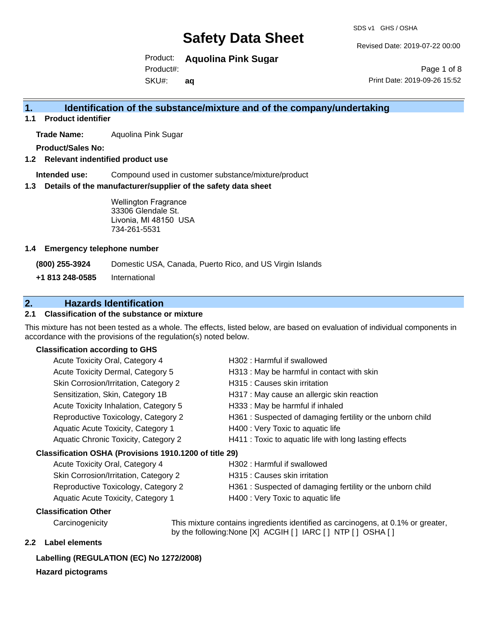SDS v1 GHS / OSHA

Revised Date: 2019-07-22 00:00

Page 1 of 8

Product: **Aquolina Pink Sugar**  Product#:

SKU#: **aq** Print Date: 2019-09-26 15:52

# **1. Identification of the substance/mixture and of the company/undertaking**

**1.1 Product identifier**

**Trade Name:** Aquolina Pink Sugar

**Product/Sales No:**

**1.2 Relevant indentified product use**

**Intended use:** Compound used in customer substance/mixture/product

**1.3 Details of the manufacturer/supplier of the safety data sheet**

Wellington Fragrance 33306 Glendale St. Livonia, MI 48150 USA 734-261-5531

#### **1.4 Emergency telephone number**

**(800) 255-3924** Domestic USA, Canada, Puerto Rico, and US Virgin Islands

**+1 813 248-0585** International

# **2. Hazards Identification**

### **2.1 Classification of the substance or mixture**

This mixture has not been tested as a whole. The effects, listed below, are based on evaluation of individual components in accordance with the provisions of the regulation(s) noted below.

## **Classification according to GHS**

| Acute Toxicity Oral, Category 4                        | H302 : Harmful if swallowed                               |
|--------------------------------------------------------|-----------------------------------------------------------|
| Acute Toxicity Dermal, Category 5                      | H313: May be harmful in contact with skin                 |
| Skin Corrosion/Irritation, Category 2                  | H315 : Causes skin irritation                             |
| Sensitization, Skin, Category 1B                       | H317 : May cause an allergic skin reaction                |
| Acute Toxicity Inhalation, Category 5                  | H333: May be harmful if inhaled                           |
| Reproductive Toxicology, Category 2                    | H361: Suspected of damaging fertility or the unborn child |
| Aquatic Acute Toxicity, Category 1                     | H400 : Very Toxic to aquatic life                         |
| <b>Aquatic Chronic Toxicity, Category 2</b>            | H411 : Toxic to aquatic life with long lasting effects    |
| Classification OSHA (Provisions 1910.1200 of title 29) |                                                           |
| Acute Toxicity Oral, Category 4                        | H302 : Harmful if swallowed                               |
| Skin Corrosion/Irritation, Category 2                  | H315 : Causes skin irritation                             |
| Reproductive Toxicology, Category 2                    | H361: Suspected of damaging fertility or the unborn child |
| Aquatic Acute Toxicity, Category 1                     | H400 : Very Toxic to aquatic life                         |

### **Classification Other**

Carcinogenicity This mixture contains ingredients identified as carcinogens, at 0.1% or greater, by the following:None [X] ACGIH [ ] IARC [ ] NTP [ ] OSHA [ ]

## **2.2 Label elements**

# **Labelling (REGULATION (EC) No 1272/2008)**

### **Hazard pictograms**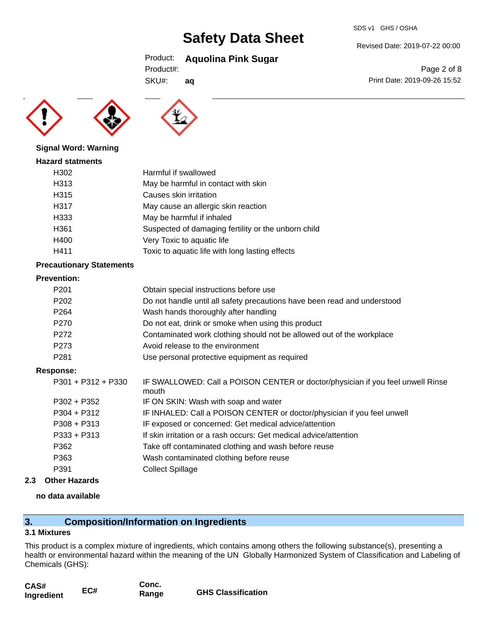#### Revised Date: 2019-07-22 00:00

Print Date: 2019-09-26 15:52

Page 2 of 8

# Product: **Aquolina Pink Sugar**

SKU#: **aq**





## **Signal Word: Warning**

#### **Hazard statments**

| H302             | Harmful if swallowed                                |
|------------------|-----------------------------------------------------|
| H313             | May be harmful in contact with skin                 |
| H315             | Causes skin irritation                              |
| H317             | May cause an allergic skin reaction                 |
| H333             | May be harmful if inhaled                           |
| H <sub>361</sub> | Suspected of damaging fertility or the unborn child |
| H400             | Very Toxic to aquatic life                          |
| H411             | Toxic to aquatic life with long lasting effects     |
|                  |                                                     |

#### **Precautionary Statements**

#### **Prevention:**

| P <sub>201</sub> | Obtain special instructions before use                                   |
|------------------|--------------------------------------------------------------------------|
| P202             | Do not handle until all safety precautions have been read and understood |
| P <sub>264</sub> | Wash hands thoroughly after handling                                     |
| P270             | Do not eat, drink or smoke when using this product                       |
| P <sub>272</sub> | Contaminated work clothing should not be allowed out of the workplace    |
| P273             | Avoid release to the environment                                         |
| P <sub>281</sub> | Use personal protective equipment as required                            |

### **Response:**

| P301 + P312 + P330 | IF SWALLOWED: Call a POISON CENTER or doctor/physician if you feel unwell Rinse<br>mouth |
|--------------------|------------------------------------------------------------------------------------------|
| P302 + P352        | IF ON SKIN: Wash with soap and water                                                     |
| P304 + P312        | IF INHALED: Call a POISON CENTER or doctor/physician if you feel unwell                  |
| P308 + P313        | IF exposed or concerned: Get medical advice/attention                                    |
| P333 + P313        | If skin irritation or a rash occurs: Get medical advice/attention                        |
| P362               | Take off contaminated clothing and wash before reuse                                     |
| P363               | Wash contaminated clothing before reuse                                                  |
| P391               | <b>Collect Spillage</b>                                                                  |
|                    |                                                                                          |

**2.3 Other Hazards**

### **no data available**

# **3. Composition/Information on Ingredients**

### **3.1 Mixtures**

This product is a complex mixture of ingredients, which contains among others the following substance(s), presenting a health or environmental hazard within the meaning of the UN Globally Harmonized System of Classification and Labeling of Chemicals (GHS):

| CAS#       | EC# | Conc. |                           |
|------------|-----|-------|---------------------------|
| Ingredient |     | Range | <b>GHS Classification</b> |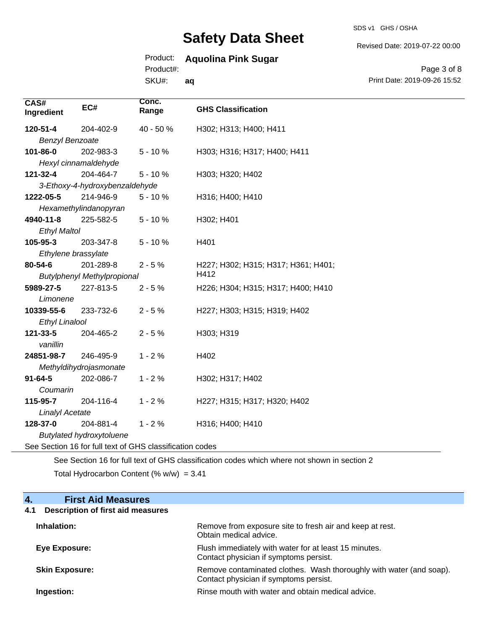SDS v1 GHS / OSHA

Revised Date: 2019-07-22 00:00

# Product: **Aquolina Pink Sugar**

Product#:

SKU#: **aq**

Page 3 of 8 Print Date: 2019-09-26 15:52

| CAS#<br>Ingredient                 | EC#                                                      | Conc.<br>Range | <b>GHS Classification</b>           |
|------------------------------------|----------------------------------------------------------|----------------|-------------------------------------|
| 120-51-4                           | 204-402-9                                                | 40 - 50 %      | H302; H313; H400; H411              |
| <b>Benzyl Benzoate</b>             |                                                          |                |                                     |
| 101-86-0                           | 202-983-3                                                | $5 - 10%$      | H303; H316; H317; H400; H411        |
|                                    | Hexyl cinnamaldehyde                                     |                |                                     |
| 121-32-4                           | 204-464-7                                                | $5 - 10%$      | H303; H320; H402                    |
|                                    | 3-Ethoxy-4-hydroxybenzaldehyde                           |                |                                     |
| 1222-05-5                          | 214-946-9                                                | $5 - 10%$      | H316; H400; H410                    |
|                                    | Hexamethylindanopyran                                    |                |                                     |
| 4940-11-8                          | 225-582-5                                                | $5 - 10%$      | H302; H401                          |
| <b>Ethyl Maltol</b>                |                                                          |                |                                     |
| 105-95-3                           | 203-347-8                                                | $5 - 10%$      | H401                                |
| Ethylene brassylate                |                                                          |                |                                     |
| 80-54-6                            | 201-289-8                                                | $2 - 5%$       | H227; H302; H315; H317; H361; H401; |
| <b>Butylphenyl Methylpropional</b> |                                                          |                | H412                                |
| 5989-27-5                          | 227-813-5                                                | $2 - 5%$       | H226; H304; H315; H317; H400; H410  |
| Limonene                           |                                                          |                |                                     |
| 10339-55-6                         | 233-732-6                                                | $2 - 5%$       | H227; H303; H315; H319; H402        |
| <b>Ethyl Linalool</b>              |                                                          |                |                                     |
| 121-33-5                           | 204-465-2                                                | $2 - 5%$       | H303; H319                          |
| vanillin                           |                                                          |                |                                     |
| 24851-98-7                         | 246-495-9                                                | $1 - 2%$       | H402                                |
|                                    | Methyldihydrojasmonate                                   |                |                                     |
| $91 - 64 - 5$                      | 202-086-7                                                | $1 - 2%$       | H302; H317; H402                    |
| Coumarin                           |                                                          |                |                                     |
| 115-95-7                           | 204-116-4                                                | $1 - 2%$       | H227; H315; H317; H320; H402        |
| <b>Linalyl Acetate</b>             |                                                          |                |                                     |
| 128-37-0                           | 204-881-4                                                | $1 - 2%$       | H316; H400; H410                    |
|                                    | <b>Butylated hydroxytoluene</b>                          |                |                                     |
|                                    | See Section 16 for full text of GHS classification codes |                |                                     |

See Section 16 for full text of GHS classification codes which where not shown in section 2 Total Hydrocarbon Content (%  $w/w$ ) = 3.41

# **4. First Aid Measures**

# **4.1 Description of first aid measures**

| Inhalation:           | Remove from exposure site to fresh air and keep at rest.<br>Obtain medical advice.                            |
|-----------------------|---------------------------------------------------------------------------------------------------------------|
| Eye Exposure:         | Flush immediately with water for at least 15 minutes.<br>Contact physician if symptoms persist.               |
| <b>Skin Exposure:</b> | Remove contaminated clothes. Wash thoroughly with water (and soap).<br>Contact physician if symptoms persist. |
| Ingestion:            | Rinse mouth with water and obtain medical advice.                                                             |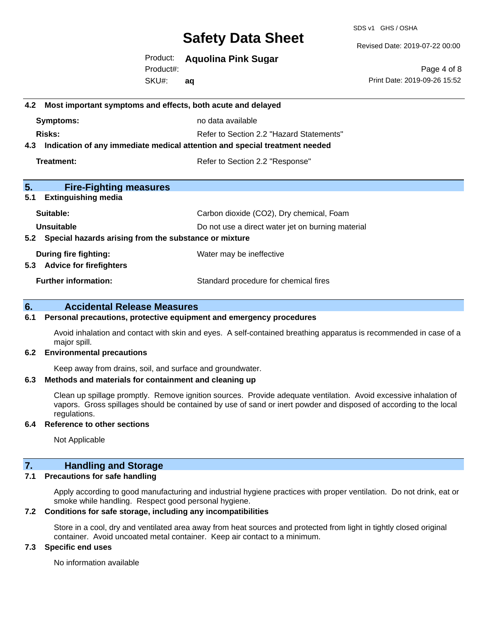SDS v1 GHS / OSHA

Revised Date: 2019-07-22 00:00

Product: **Aquolina Pink Sugar**  Product#:

SKU#: **aq**

Page 4 of 8 Print Date: 2019-09-26 15:52

# **4.2 Most important symptoms and effects, both acute and delayed Symptoms:** no data available **Risks:** Risks: Refer to Section 2.2 "Hazard Statements" **4.3 Indication of any immediate medical attention and special treatment needed Treatment:** Treatment: Treatment: Refer to Section 2.2 "Response" **5. Fire-Fighting measures 5.1 Extinguishing media** Suitable: Carbon dioxide (CO2), Dry chemical, Foam **Unsuitable** Do not use a direct water jet on burning material **5.2 Special hazards arising from the substance or mixture During fire fighting:** Water may be ineffective **5.3 Advice for firefighters Further information:** Standard procedure for chemical fires

## **6. Accidental Release Measures**

#### **6.1 Personal precautions, protective equipment and emergency procedures**

Avoid inhalation and contact with skin and eyes. A self-contained breathing apparatus is recommended in case of a major spill.

#### **6.2 Environmental precautions**

Keep away from drains, soil, and surface and groundwater.

#### **6.3 Methods and materials for containment and cleaning up**

Clean up spillage promptly. Remove ignition sources. Provide adequate ventilation. Avoid excessive inhalation of vapors. Gross spillages should be contained by use of sand or inert powder and disposed of according to the local regulations.

### **6.4 Reference to other sections**

Not Applicable

### **7. Handling and Storage**

#### **7.1 Precautions for safe handling**

Apply according to good manufacturing and industrial hygiene practices with proper ventilation. Do not drink, eat or smoke while handling. Respect good personal hygiene.

#### **7.2 Conditions for safe storage, including any incompatibilities**

Store in a cool, dry and ventilated area away from heat sources and protected from light in tightly closed original container. Avoid uncoated metal container. Keep air contact to a minimum.

#### **7.3 Specific end uses**

No information available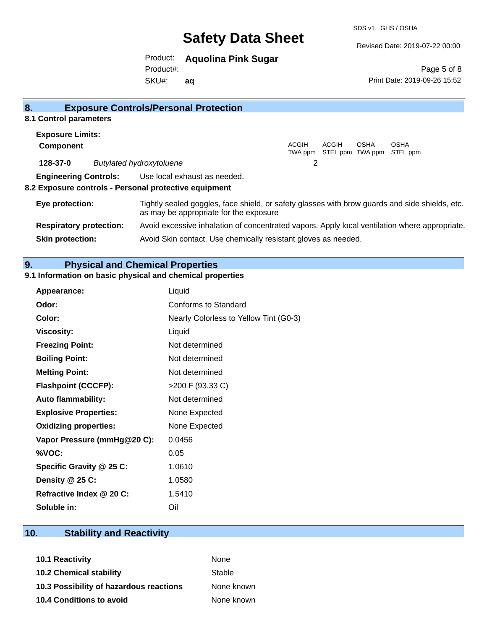Revised Date: 2019-07-22 00:00

Product: **Aquolina Pink Sugar** 

SKU#: Product#: **aq**

Page 5 of 8 Print Date: 2019-09-26 15:52

| 8.                                                    | <b>Exposure Controls/Personal Protection</b>                                                                                             |  |
|-------------------------------------------------------|------------------------------------------------------------------------------------------------------------------------------------------|--|
| 8.1 Control parameters                                |                                                                                                                                          |  |
| <b>Exposure Limits:</b>                               |                                                                                                                                          |  |
| <b>Component</b>                                      | ACGIH<br>ACGIH<br><b>OSHA</b><br><b>OSHA</b><br>STEL ppm TWA ppm STEL ppm<br>TWA ppm                                                     |  |
| 128-37-0                                              | 2<br><b>Butylated hydroxytoluene</b>                                                                                                     |  |
|                                                       | <b>Engineering Controls:</b> Use local exhaust as needed.                                                                                |  |
| 8.2 Exposure controls - Personal protective equipment |                                                                                                                                          |  |
| Eye protection:                                       | Tightly sealed goggles, face shield, or safety glasses with brow guards and side shields, etc.<br>as may be appropriate for the exposure |  |
| <b>Respiratory protection:</b>                        | Avoid excessive inhalation of concentrated vapors. Apply local ventilation where appropriate.                                            |  |
| <b>Skin protection:</b>                               | Avoid Skin contact. Use chemically resistant gloves as needed.                                                                           |  |

# **9. Physical and Chemical Properties**

## **9.1 Information on basic physical and chemical properties**

| Appearance:                  | Liquid                                 |
|------------------------------|----------------------------------------|
| Odor:                        | Conforms to Standard                   |
| Color:                       | Nearly Colorless to Yellow Tint (G0-3) |
| <b>Viscosity:</b>            | Liquid                                 |
| <b>Freezing Point:</b>       | Not determined                         |
| <b>Boiling Point:</b>        | Not determined                         |
| <b>Melting Point:</b>        | Not determined                         |
| <b>Flashpoint (CCCFP):</b>   | >200 F (93.33 C)                       |
| <b>Auto flammability:</b>    | Not determined                         |
| <b>Explosive Properties:</b> | None Expected                          |
| <b>Oxidizing properties:</b> | None Expected                          |
| Vapor Pressure (mmHg@20 C):  | 0.0456                                 |
| %VOC:                        | 0.05                                   |
| Specific Gravity @ 25 C:     | 1.0610                                 |
| Density @ 25 C:              | 1.0580                                 |
| Refractive Index @ 20 C:     | 1.5410                                 |
| Soluble in:                  | Oil                                    |

# **10. Stability and Reactivity**

| <b>10.1 Reactivity</b>                  | <b>None</b> |
|-----------------------------------------|-------------|
| <b>10.2 Chemical stability</b>          | Stable      |
| 10.3 Possibility of hazardous reactions | None known  |
| <b>10.4 Conditions to avoid</b>         | None known  |
|                                         |             |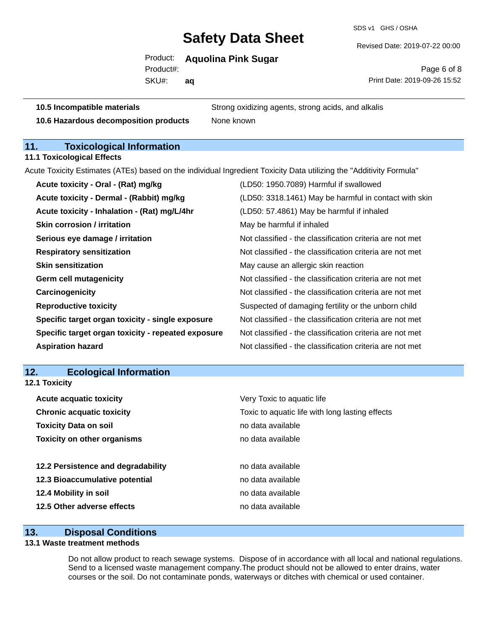SDS v1 GHS / OSHA

Revised Date: 2019-07-22 00:00

Product: **Aquolina Pink Sugar** 

SKU#: Product#: **aq**

Page 6 of 8 Print Date: 2019-09-26 15:52

**10.5 Incompatible materials** Strong oxidizing agents, strong acids, and alkalis

**10.6 Hazardous decomposition products** None known

# **11. Toxicological Information**

**11.1 Toxicological Effects**

Acute Toxicity Estimates (ATEs) based on the individual Ingredient Toxicity Data utilizing the "Additivity Formula"

| Acute toxicity - Oral - (Rat) mg/kg                | (LD50: 1950.7089) Harmful if swallowed                   |
|----------------------------------------------------|----------------------------------------------------------|
| Acute toxicity - Dermal - (Rabbit) mg/kg           | (LD50: 3318.1461) May be harmful in contact with skin    |
| Acute toxicity - Inhalation - (Rat) mg/L/4hr       | (LD50: 57.4861) May be harmful if inhaled                |
| <b>Skin corrosion / irritation</b>                 | May be harmful if inhaled                                |
| Serious eye damage / irritation                    | Not classified - the classification criteria are not met |
| <b>Respiratory sensitization</b>                   | Not classified - the classification criteria are not met |
| <b>Skin sensitization</b>                          | May cause an allergic skin reaction                      |
| <b>Germ cell mutagenicity</b>                      | Not classified - the classification criteria are not met |
| Carcinogenicity                                    | Not classified - the classification criteria are not met |
| <b>Reproductive toxicity</b>                       | Suspected of damaging fertility or the unborn child      |
| Specific target organ toxicity - single exposure   | Not classified - the classification criteria are not met |
| Specific target organ toxicity - repeated exposure | Not classified - the classification criteria are not met |
| <b>Aspiration hazard</b>                           | Not classified - the classification criteria are not met |

#### **12. Ecological Information 12.1 Toxicity**

| Very Toxic to aquatic life                      |  |
|-------------------------------------------------|--|
| Toxic to aquatic life with long lasting effects |  |
| no data available                               |  |
| no data available                               |  |
|                                                 |  |
| no data available                               |  |
| no data available                               |  |
| no data available                               |  |
| no data available                               |  |
|                                                 |  |

### **13. Disposal Conditions**

# **13.1 Waste treatment methods**

Do not allow product to reach sewage systems. Dispose of in accordance with all local and national regulations. Send to a licensed waste management company.The product should not be allowed to enter drains, water courses or the soil. Do not contaminate ponds, waterways or ditches with chemical or used container.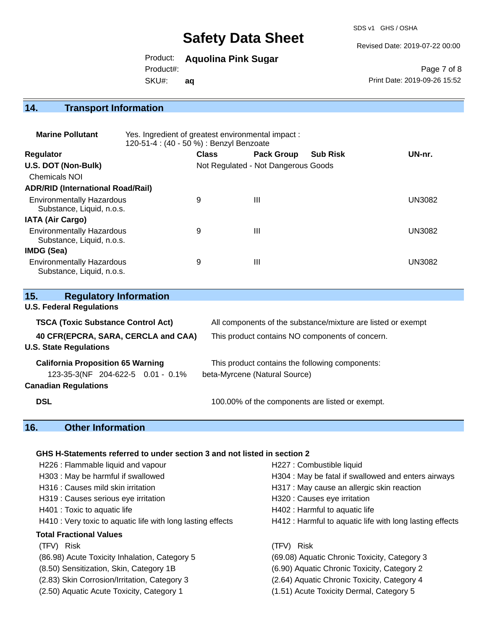SDS v1 GHS / OSHA

Revised Date: 2019-07-22 00:00

Product: **Aquolina Pink Sugar** 

Product#:

SKU#: **aq**

Page 7 of 8 Print Date: 2019-09-26 15:52

# **14. Transport Information**

| <b>Marine Pollutant</b>                                       | Yes. Ingredient of greatest environmental impact:<br>120-51-4 : (40 - 50 %) : Benzyl Benzoate |              |                                     |                 |               |  |
|---------------------------------------------------------------|-----------------------------------------------------------------------------------------------|--------------|-------------------------------------|-----------------|---------------|--|
| <b>Regulator</b>                                              |                                                                                               | <b>Class</b> | <b>Pack Group</b>                   | <b>Sub Risk</b> | UN-nr.        |  |
| U.S. DOT (Non-Bulk)                                           |                                                                                               |              | Not Regulated - Not Dangerous Goods |                 |               |  |
| <b>Chemicals NOI</b>                                          |                                                                                               |              |                                     |                 |               |  |
| <b>ADR/RID (International Road/Rail)</b>                      |                                                                                               |              |                                     |                 |               |  |
| <b>Environmentally Hazardous</b><br>Substance, Liquid, n.o.s. |                                                                                               | 9            | Ш                                   |                 | UN3082        |  |
| <b>IATA (Air Cargo)</b>                                       |                                                                                               |              |                                     |                 |               |  |
| <b>Environmentally Hazardous</b><br>Substance, Liquid, n.o.s. |                                                                                               | 9            | Ш                                   |                 | <b>UN3082</b> |  |
| IMDG (Sea)                                                    |                                                                                               |              |                                     |                 |               |  |
| <b>Environmentally Hazardous</b><br>Substance, Liquid, n.o.s. |                                                                                               | 9            | Ш                                   |                 | UN3082        |  |

| 15.<br><b>Regulatory Information</b>                                 |                                                              |
|----------------------------------------------------------------------|--------------------------------------------------------------|
| <b>U.S. Federal Regulations</b>                                      |                                                              |
| <b>TSCA (Toxic Substance Control Act)</b>                            | All components of the substance/mixture are listed or exempt |
| 40 CFR(EPCRA, SARA, CERCLA and CAA)<br><b>U.S. State Regulations</b> | This product contains NO components of concern.              |
| <b>California Proposition 65 Warning</b>                             | This product contains the following components:              |
| 123-35-3(NF 204-622-5 0.01 - 0.1%                                    | beta-Myrcene (Natural Source)                                |
| <b>Canadian Regulations</b>                                          |                                                              |
| <b>DSL</b>                                                           | 100.00% of the components are listed or exempt.              |

# **16. Other Information**

### **GHS H-Statements referred to under section 3 and not listed in section 2**

| H226 : Flammable liquid and vapour                          | H227 : Combustible liquid                                |
|-------------------------------------------------------------|----------------------------------------------------------|
| H303: May be harmful if swallowed                           | H304 : May be fatal if swallowed and enters airways      |
| H316 : Causes mild skin irritation                          | H317 : May cause an allergic skin reaction               |
| H319 : Causes serious eye irritation                        | H320 : Causes eye irritation                             |
| H401 : Toxic to aquatic life                                | H402 : Harmful to aquatic life                           |
| H410 : Very toxic to aquatic life with long lasting effects | H412 : Harmful to aquatic life with long lasting effects |
| <b>Total Fractional Values</b>                              |                                                          |
| (TFV) Risk                                                  | (TFV) Risk                                               |
| (86.98) Acute Toxicity Inhalation, Category 5               | (69.08) Aquatic Chronic Toxicity, Category 3             |
| (8.50) Sensitization, Skin, Category 1B                     | (6.90) Aquatic Chronic Toxicity, Category 2              |
| (2.83) Skin Corrosion/Irritation, Category 3                | (2.64) Aquatic Chronic Toxicity, Category 4              |
| (2.50) Aquatic Acute Toxicity, Category 1                   | (1.51) Acute Toxicity Dermal, Category 5                 |